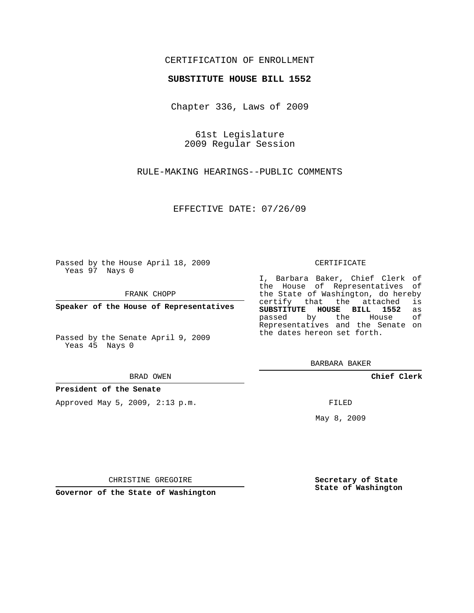## CERTIFICATION OF ENROLLMENT

## **SUBSTITUTE HOUSE BILL 1552**

Chapter 336, Laws of 2009

61st Legislature 2009 Regular Session

RULE-MAKING HEARINGS--PUBLIC COMMENTS

EFFECTIVE DATE: 07/26/09

Passed by the House April 18, 2009 Yeas 97 Nays 0

FRANK CHOPP

**Speaker of the House of Representatives**

Passed by the Senate April 9, 2009 Yeas 45 Nays 0

BRAD OWEN

**President of the Senate**

Approved May 5, 2009, 2:13 p.m.

## CERTIFICATE

I, Barbara Baker, Chief Clerk of the House of Representatives of the State of Washington, do hereby<br>certify that the attached is certify that the attached **SUBSTITUTE HOUSE BILL 1552** as passed by the House of Representatives and the Senate on the dates hereon set forth.

BARBARA BAKER

**Chief Clerk**

FILED

May 8, 2009

**Secretary of State State of Washington**

CHRISTINE GREGOIRE

**Governor of the State of Washington**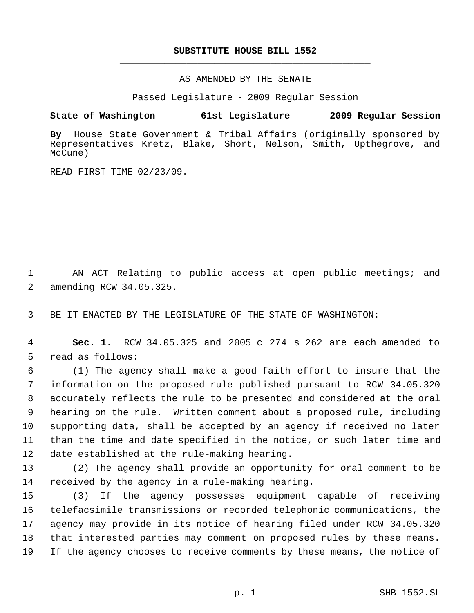## **SUBSTITUTE HOUSE BILL 1552** \_\_\_\_\_\_\_\_\_\_\_\_\_\_\_\_\_\_\_\_\_\_\_\_\_\_\_\_\_\_\_\_\_\_\_\_\_\_\_\_\_\_\_\_\_

\_\_\_\_\_\_\_\_\_\_\_\_\_\_\_\_\_\_\_\_\_\_\_\_\_\_\_\_\_\_\_\_\_\_\_\_\_\_\_\_\_\_\_\_\_

AS AMENDED BY THE SENATE

Passed Legislature - 2009 Regular Session

**State of Washington 61st Legislature 2009 Regular Session**

**By** House State Government & Tribal Affairs (originally sponsored by Representatives Kretz, Blake, Short, Nelson, Smith, Upthegrove, and McCune)

READ FIRST TIME 02/23/09.

 AN ACT Relating to public access at open public meetings; and amending RCW 34.05.325.

BE IT ENACTED BY THE LEGISLATURE OF THE STATE OF WASHINGTON:

 **Sec. 1.** RCW 34.05.325 and 2005 c 274 s 262 are each amended to read as follows:

 (1) The agency shall make a good faith effort to insure that the information on the proposed rule published pursuant to RCW 34.05.320 accurately reflects the rule to be presented and considered at the oral hearing on the rule. Written comment about a proposed rule, including supporting data, shall be accepted by an agency if received no later than the time and date specified in the notice, or such later time and date established at the rule-making hearing.

 (2) The agency shall provide an opportunity for oral comment to be received by the agency in a rule-making hearing.

 (3) If the agency possesses equipment capable of receiving telefacsimile transmissions or recorded telephonic communications, the agency may provide in its notice of hearing filed under RCW 34.05.320 that interested parties may comment on proposed rules by these means. If the agency chooses to receive comments by these means, the notice of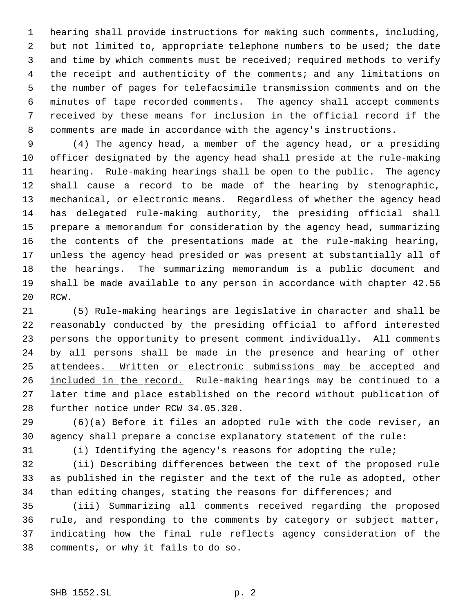hearing shall provide instructions for making such comments, including, but not limited to, appropriate telephone numbers to be used; the date and time by which comments must be received; required methods to verify the receipt and authenticity of the comments; and any limitations on the number of pages for telefacsimile transmission comments and on the minutes of tape recorded comments. The agency shall accept comments received by these means for inclusion in the official record if the comments are made in accordance with the agency's instructions.

 (4) The agency head, a member of the agency head, or a presiding officer designated by the agency head shall preside at the rule-making hearing. Rule-making hearings shall be open to the public. The agency shall cause a record to be made of the hearing by stenographic, mechanical, or electronic means. Regardless of whether the agency head has delegated rule-making authority, the presiding official shall prepare a memorandum for consideration by the agency head, summarizing the contents of the presentations made at the rule-making hearing, unless the agency head presided or was present at substantially all of the hearings. The summarizing memorandum is a public document and shall be made available to any person in accordance with chapter 42.56 RCW.

 (5) Rule-making hearings are legislative in character and shall be reasonably conducted by the presiding official to afford interested 23 persons the opportunity to present comment individually. All comments 24 by all persons shall be made in the presence and hearing of other attendees. Written or electronic submissions may be accepted and 26 included in the record. Rule-making hearings may be continued to a later time and place established on the record without publication of further notice under RCW 34.05.320.

 (6)(a) Before it files an adopted rule with the code reviser, an agency shall prepare a concise explanatory statement of the rule:

(i) Identifying the agency's reasons for adopting the rule;

 (ii) Describing differences between the text of the proposed rule as published in the register and the text of the rule as adopted, other 34 than editing changes, stating the reasons for differences; and

 (iii) Summarizing all comments received regarding the proposed rule, and responding to the comments by category or subject matter, indicating how the final rule reflects agency consideration of the comments, or why it fails to do so.